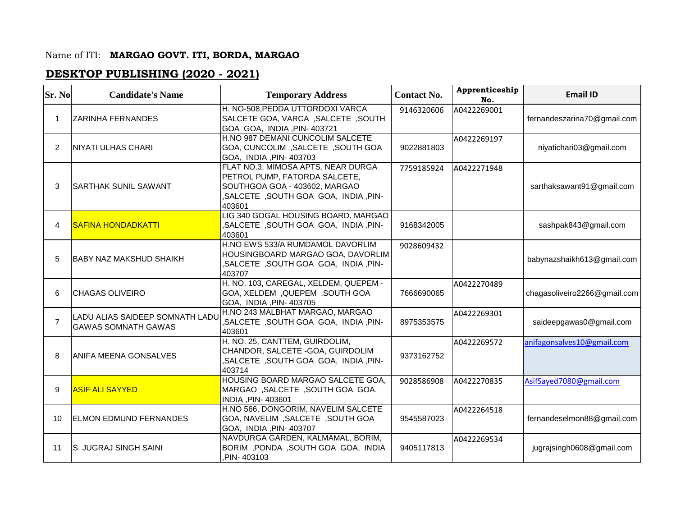## Name of ITI: **MARGAO GOVT. ITI, BORDA, MARGAO**

## **DESKTOP PUBLISHING (2020 - 2021)**

| Sr. No         | <b>Candidate's Name</b>                                              | <b>Temporary Address</b>                                                                                                                                | <b>Contact No.</b> | Apprenticeship<br>No. | <b>Email ID</b>              |
|----------------|----------------------------------------------------------------------|---------------------------------------------------------------------------------------------------------------------------------------------------------|--------------------|-----------------------|------------------------------|
| 1              | <b>ZARINHA FERNANDES</b>                                             | H. NO-508, PEDDA UTTORDOXI VARCA<br>SALCETE GOA, VARCA, SALCETE, SOUTH<br>GOA GOA, INDIA, PIN-403721                                                    | 9146320606         | A0422269001           | fernandeszarina70@gmail.com  |
| $\overline{2}$ | NIYATI ULHAS CHARI                                                   | H.NO 987 DEMANI CUNCOLIM SALCETE<br><b>GOA, CUNCOLIM, SALCETE, SOUTH GOA</b><br>GOA, INDIA, PIN- 403703                                                 | 9022881803         | A0422269197           | niyatichari03@gmail.com      |
| 3              | <b>SARTHAK SUNIL SAWANT</b>                                          | FLAT NO.3, MIMOSA APTS. NEAR DURGA<br>PETROL PUMP, FATORDA SALCETE,<br>SOUTHGOA GOA - 403602, MARGAO<br>, SALCETE, SOUTH GOA GOA, INDIA, PIN-<br>403601 | 7759185924         | A0422271948           | sarthaksawant91@gmail.com    |
| 4              | <b>SAFINA HONDADKATTI</b>                                            | LIG 340 GOGAL HOUSING BOARD, MARGAO<br>, SALCETE, SOUTH GOA GOA, INDIA, PIN-<br>403601                                                                  | 9168342005         |                       | sashpak843@gmail.com         |
| 5              | <b>BABY NAZ MAKSHUD SHAIKH</b>                                       | H.NO EWS 533/A RUMDAMOL DAVORLIM<br>HOUSINGBOARD MARGAO GOA, DAVORLIM<br>, SALCETE, SOUTH GOA GOA, INDIA, PIN-<br>403707                                | 9028609432         |                       | babynazshaikh613@gmail.com   |
| 6              | <b>CHAGAS OLIVEIRO</b>                                               | H. NO. 103, CAREGAL, XELDEM, QUEPEM -<br><b>GOA, XELDEM, QUEPEM, SOUTH GOA</b><br>GOA, INDIA, PIN- 403705                                               | 7666690065         | A0422270489           | chagasoliveiro2266@gmail.com |
| 7              | <b>LADU ALIAS SAIDEEP SOMNATH LADU</b><br><b>GAWAS SOMNATH GAWAS</b> | H.NO 243 MALBHAT MARGAO, MARGAO<br>,SALCETE, SOUTH GOA GOA, INDIA, PIN-<br>403601                                                                       | 8975353575         | A0422269301           | saideepgawas0@gmail.com      |
| 8              | <b>ANIFA MEENA GONSALVES</b>                                         | H. NO. 25, CANTTEM, GUIRDOLIM,<br>CHANDOR, SALCETE - GOA, GUIRDOLIM<br>, SALCETE, SOUTH GOA GOA, INDIA, PIN-<br>403714                                  | 9373162752         | A0422269572           | anifagonsalves10@gmail.com   |
| 9              | <b>ASIF ALI SAYYED</b>                                               | HOUSING BOARD MARGAO SALCETE GOA,<br>MARGAO, SALCETE, SOUTH GOA GOA,<br>INDIA, PIN-403601                                                               | 9028586908         | A0422270835           | AsifSayed7080@gmail.com      |
| 10             | <b>ELMON EDMUND FERNANDES</b>                                        | H.NO 566, DONGORIM, NAVELIM SALCETE<br><b>GOA, NAVELIM, SALCETE, SOUTH GOA</b><br>GOA, INDIA, PIN- 403707                                               | 9545587023         | A0422264518           | fernandeselmon88@gmail.com   |
| 11             | S. JUGRAJ SINGH SAINI                                                | NAVDURGA GARDEN, KALMAMAL, BORIM,<br>BORIM, PONDA, SOUTH GOA GOA, INDIA<br>PIN-403103                                                                   | 9405117813         | A0422269534           | jugrajsingh0608@gmail.com    |